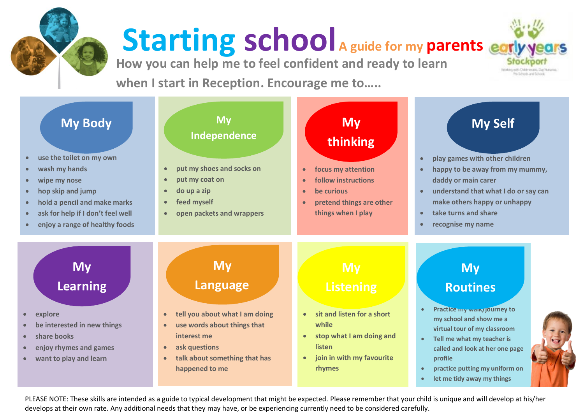

## **Starting school A guide for my parents**

**How you can help me to feel confident and ready to learn** 

**when I start in Reception. Encourage me to…..**



**want to play and learn**

- 
- **talk about something that has happened to me**
- **join in with my favourite rhymes**
- **called and look at her one page profile**
- **practice putting my uniform on**
- **let me tidy away my things**

**Schools and School** 

PLEASE NOTE: These skills are intended as a guide to typical development that might be expected. Please remember that your child is unique and will develop at his/her develops at their own rate. Any additional needs that they may have, or be experiencing currently need to be considered carefully.